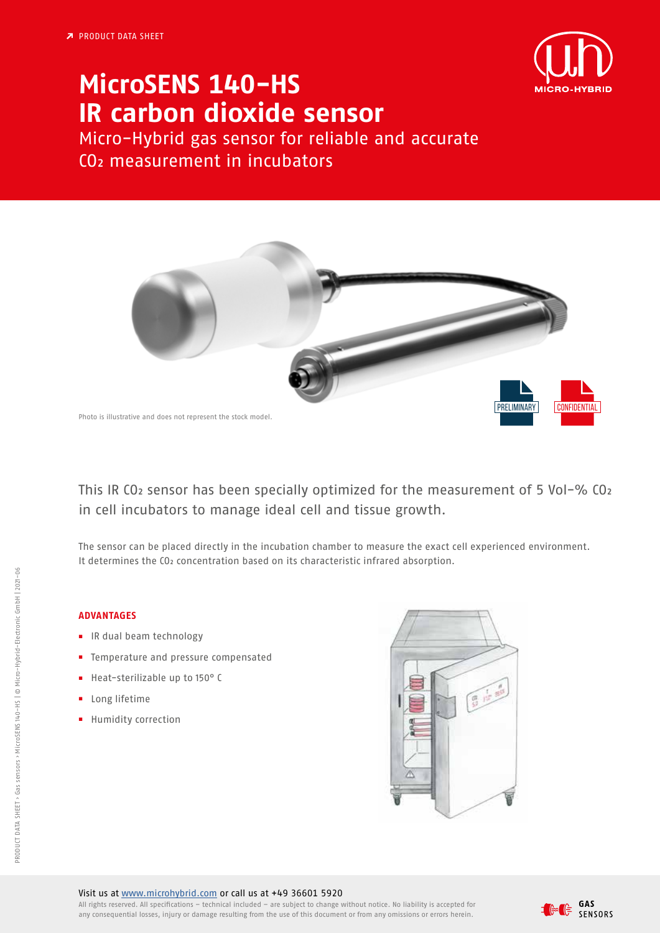

## **MicroSENS 140-HS IR carbon dioxide sensor**

Micro-Hybrid gas sensor for reliable and accurate CO2 measurement in incubators



This IR CO2 sensor has been specially optimized for the measurement of 5 Vol-% CO2 in cell incubators to manage ideal cell and tissue growth.

The sensor can be placed directly in the incubation chamber to measure the exact cell experienced environment. It determines the CO<sub>2</sub> concentration based on its characteristic infrared absorption.

## **ADVANTAGES**

- **■** IR dual beam technology
- **■** Temperature and pressure compensated
- **■** Heat-sterilizable up to 150° C
- **■** Long lifetime
- **■** Humidity correction